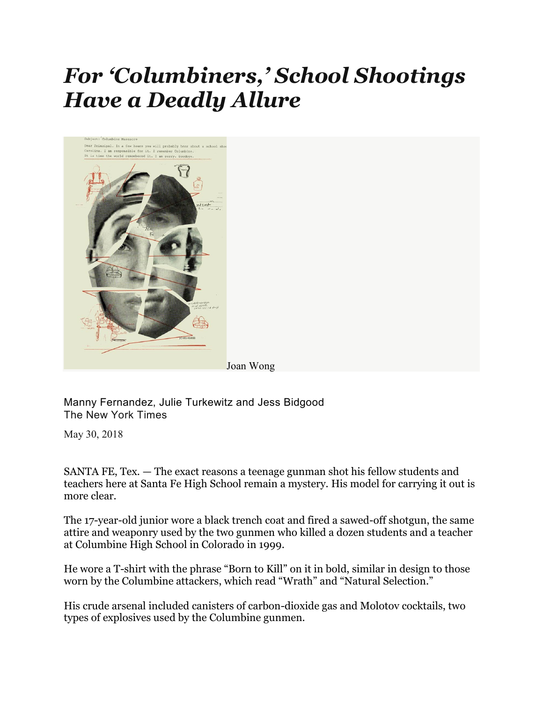## *For 'Columbiners,' School Shootings Have a Deadly Allure*



Joan Wong

Manny [Fernandez,](http://www.nytimes.com/by/manny-fernandez) Julie [Turkewitz](http://www.nytimes.com/by/julie-turkewitz) and Jess [Bidgood](http://www.nytimes.com/by/jess-bidgood)  The New York Times

May 30, 2018

SANTA FE, Tex. — The exact reasons a teenage gunman shot his fellow students and teachers here at Santa Fe High School remain a mystery. His model for carrying it out is more clear.

The 17-year-old junior wore a black trench coat and fired a sawed-off shotgun, the same attire and weaponry used by the two gunmen who killed a dozen students and a teacher at Columbine High School in Colorado in 1999.

He wore a T-shirt with the phrase "Born to Kill" on it in bold, similar in design to those worn by the Columbine attackers, which read "Wrath" and "Natural Selection."

His crude arsenal included canisters of carbon-dioxide gas and Molotov cocktails, two types of explosives used by the Columbine gunmen.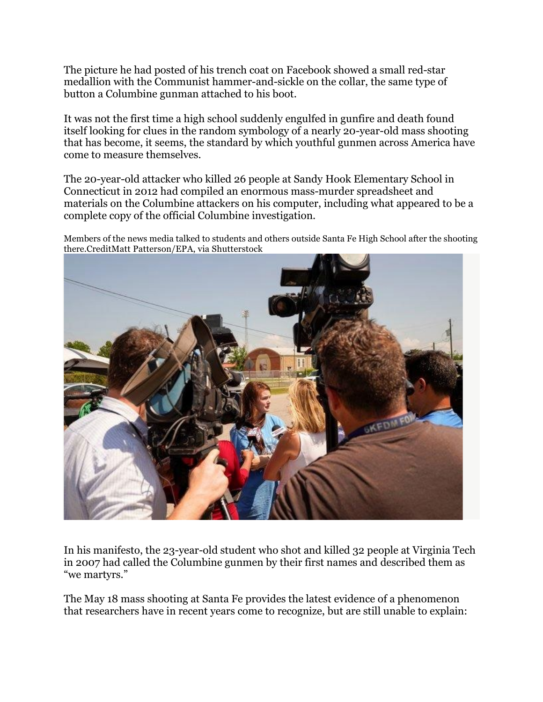The picture he had posted of his trench coat on Facebook showed a small red-star medallion with the Communist hammer-and-sickle on the collar, the same type of button a Columbine gunman attached to his boot.

It was not the first time a high school suddenly engulfed in gunfire and death found itself looking for clues in the random symbology of a nearly 20-year-old mass shooting that has become, it seems, the standard by which youthful gunmen across America have come to measure themselves.

The 20-year-old attacker who killed 26 people at Sandy Hook Elementary School in Connecticut in 2012 had compiled an enormous mass-murder spreadsheet and materials on the Columbine attackers on his computer, including what appeared to be a complete copy of the official Columbine investigation.

Members of the news media talked to students and others outside Santa Fe High School after the shooting there.CreditMatt Patterson/EPA, via Shutterstock



In his manifesto, the 23-year-old student who shot and killed 32 people at Virginia Tech in 2007 had called the Columbine gunmen by their first names and described them as "we martyrs."

The May 18 mass shooting at Santa Fe provides the latest evidence of a phenomenon that researchers have in recent years come to recognize, but are still unable to explain: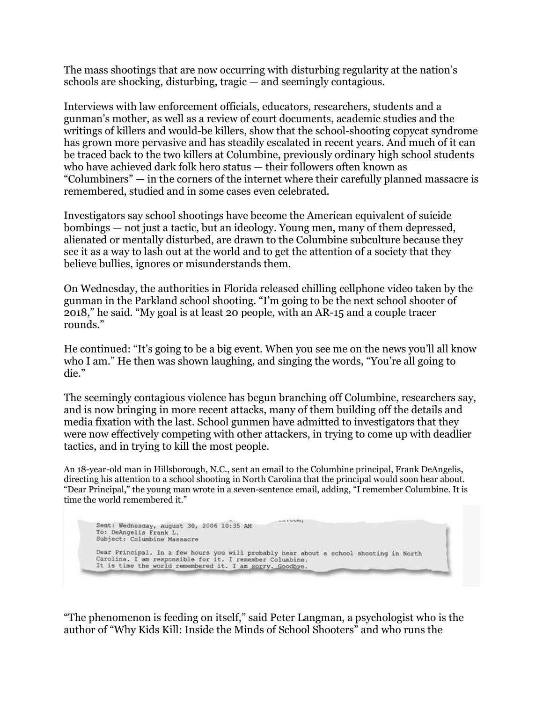The mass shootings that are now occurring with disturbing regularity at the nation's schools are shocking, disturbing, tragic — and seemingly contagious.

Interviews with law enforcement officials, educators, researchers, students and a gunman's mother, as well as a review of court documents, academic studies and the writings of killers and would-be killers, show that the school-shooting copycat syndrome has grown more pervasive and has steadily escalated in recent years. And much of it can be traced back to the two killers at Columbine, previously ordinary high school students who have achieved dark folk hero status — their followers often known as "Columbiners" — in the corners of the internet where their carefully planned massacre is remembered, studied and in some cases even celebrated.

Investigators say school shootings have become the American equivalent of suicide bombings — not just a tactic, but an ideology. Young men, many of them depressed, alienated or mentally disturbed, are drawn to the Columbine subculture because they see it as a way to lash out at the world and to get the attention of a society that they believe bullies, ignores or misunderstands them.

On Wednesday, the authorities in Florida released chilling cellphone video taken by the gunman in the Parkland school shooting. "I'm going to be the next school shooter of 2018," he said. "My goal is at least 20 people, with an AR-15 and a couple tracer rounds."

He continued: "It's going to be a big event. When you see me on the news you'll all know who I am." He then was shown laughing, and singing the words, "You're all going to die."

The seemingly contagious violence has begun branching off Columbine, researchers say, and is now bringing in more recent attacks, many of them building off the details and media fixation with the last. School gunmen have admitted to investigators that they were now effectively competing with other attackers, in trying to come up with deadlier tactics, and in trying to kill the most people.

An 18-year-old man in Hillsborough, N.C., sent an email to the Columbine principal, Frank DeAngelis, directing his attention to a school shooting in North Carolina that the principal would soon hear about. "Dear Principal," the young man wrote in a seven-sentence email, adding, "I remember Columbine. It is time the world remembered it."

```
Sent: Wednesday, August 30, 2006 10:35 AM<br>To: DeAngelis Frank L.
Subject: Columbine Massacre
Dear Principal. In a few hours you will probably hear about a school shooting in North
Carolina. I am responsible for it. I remember Columbine.
It is time the world remembered it. I am sorry. Goodbye.
```
"The phenomenon is feeding on itself," said Peter Langman, a psychologist who is the author of "Why Kids Kill: Inside the Minds of School Shooters" and who runs the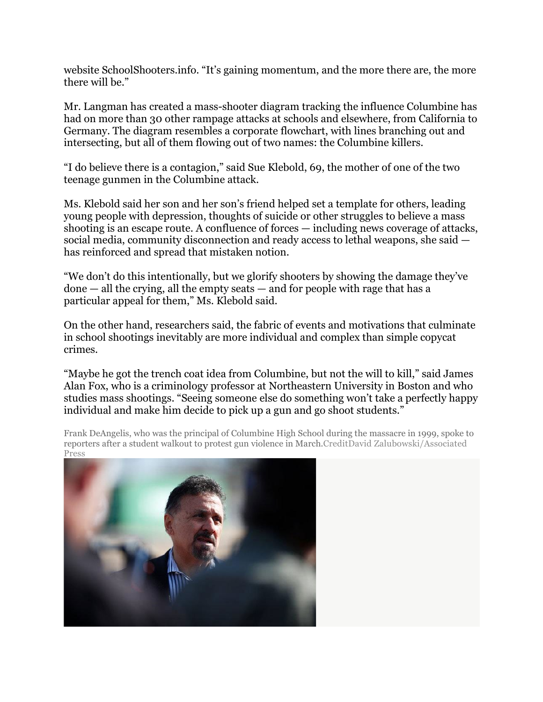website SchoolShooters.info. "It's gaining momentum, and the more there are, the more there will be."

Mr. Langman has created a mass-shooter diagram tracking the influence Columbine has had on more than 30 other rampage attacks at schools and elsewhere, from California to Germany. The diagram resembles a corporate flowchart, with lines branching out and intersecting, but all of them flowing out of two names: the Columbine killers.

"I do believe there is a contagion," said Sue Klebold, 69, the mother of one of the two teenage gunmen in the Columbine attack.

Ms. Klebold said her son and her son's friend helped set a template for others, leading young people with depression, thoughts of suicide or other struggles to believe a mass shooting is an escape route. A confluence of forces — including news coverage of attacks, social media, community disconnection and ready access to lethal weapons, she said has reinforced and spread that mistaken notion.

"We don't do this intentionally, but we glorify shooters by showing the damage they've  $done - all the$  crying, all the empty seats  $-$  and for people with rage that has a particular appeal for them," Ms. Klebold said.

On the other hand, researchers said, the fabric of events and motivations that culminate in school shootings inevitably are more individual and complex than simple copycat crimes.

"Maybe he got the trench coat idea from Columbine, but not the will to kill," said James Alan Fox, who is a criminology professor at Northeastern University in Boston and who studies mass shootings. "Seeing someone else do something won't take a perfectly happy individual and make him decide to pick up a gun and go shoot students."

Frank DeAngelis, who was the principal of Columbine High School during the massacre in 1999, spoke to reporters after a student walkout to protest gun violence in March.CreditDavid Zalubowski/Associated Press

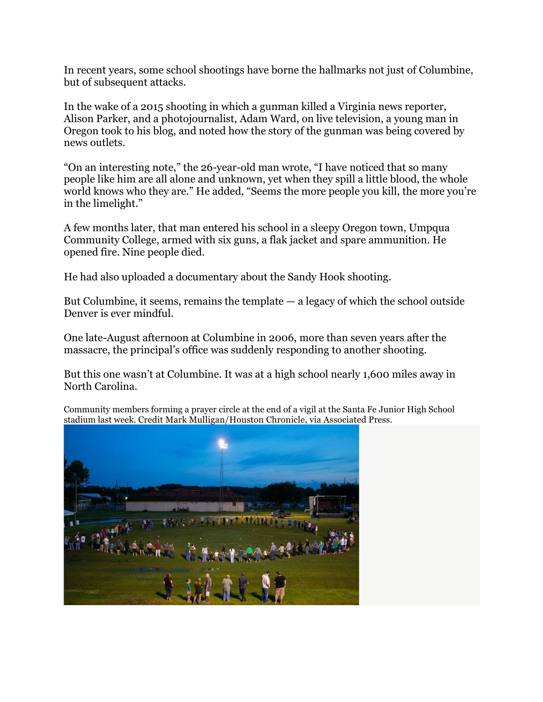In recent years, some school shootings have borne the hallmarks not just of Columbine, but of subsequent attacks.

In the wake of a 2015 shooting in which a gunman killed a Virginia news reporter, Alison Parker, and a photojournalist, Adam Ward, on live television, a young man in Oregon took to his blog, and noted how the story of the gunman was being covered by news outlets.

"On an interesting note," the 26-year-old man wrote, "I have noticed that so many people like him are all alone and unknown, yet when they spill a little blood, the whole world knows who they are." He added, "Seems the more people you kill, the more you're in the limelight."

A few months later, that man entered his school in a sleepy Oregon town, Umpqua Community College, armed with six guns, a flak jacket and spare ammunition. He opened fire. Nine people died.

He had also uploaded a documentary about the Sandy Hook shooting.

But Columbine, it seems, remains the template — a legacy of which the school outside Denver is ever mindful.

One late-August afternoon at Columbine in 2006, more than seven years after the massacre, the principal's office was suddenly responding to another shooting.

But this one wasn't at Columbine. It was at a high school nearly 1,600 miles away in North Carolina.

Community members forming a prayer circle at the end of a vigil at the Santa Fe Junior High School stadium last week. Credit Mark Mulligan/Houston Chronicle, via Associated Press.

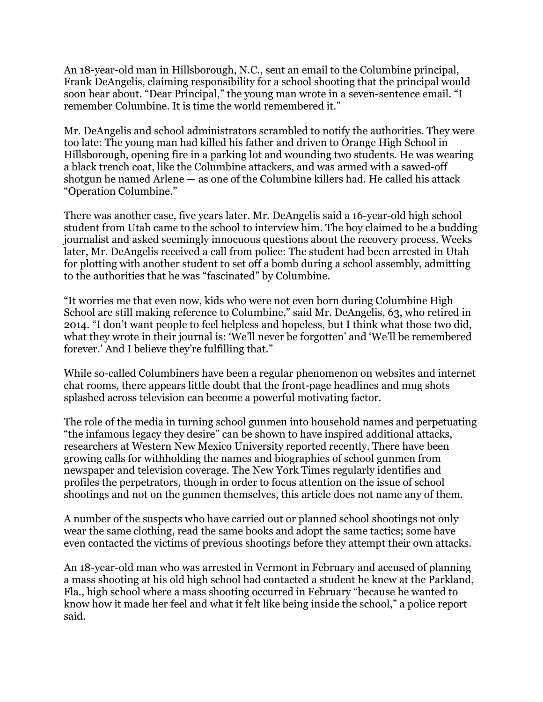An 18-year-old man in Hillsborough, N.C., sent an email to the Columbine principal, Frank DeAngelis, claiming responsibility for a school shooting that the principal would soon hear about. "Dear Principal," the young man wrote in a seven-sentence email. "I remember Columbine. It is time the world remembered it."

Mr. DeAngelis and school administrators scrambled to notify the authorities. They were too late: The young man had killed his father and driven to Orange High School in Hillsborough, opening fire in a parking lot and wounding two students. He was wearing a black trench coat, like the Columbine attackers, and was armed with a sawed-off shotgun he named Arlene — as one of the Columbine killers had. He called his attack "Operation Columbine."

There was another case, five years later. Mr. DeAngelis said a 16-year-old high school student from Utah came to the school to interview him. The boy claimed to be a budding journalist and asked seemingly innocuous questions about the recovery process. Weeks later, Mr. DeAngelis received a call from police: The student had been arrested in Utah for plotting with another student to set off a bomb during a school assembly, admitting to the authorities that he was "fascinated" by Columbine.

"It worries me that even now, kids who were not even born during Columbine High School are still making reference to Columbine," said Mr. DeAngelis, 63, who retired in 2014. "I don't want people to feel helpless and hopeless, but I think what those two did, what they wrote in their journal is: 'We'll never be forgotten' and 'We'll be remembered forever.' And I believe they're fulfilling that."

While so-called Columbiners have been a regular phenomenon on websites and internet chat rooms, there appears little doubt that the front-page headlines and mug shots splashed across television can become a powerful motivating factor.

The role of the media in turning school gunmen into household names and perpetuating "the infamous legacy they desire" can be shown to have inspired additional attacks, researchers at Western New Mexico University reported recently. There have been growing calls for withholding the names and biographies of school gunmen from newspaper and television coverage. The New York Times regularly identifies and profiles the perpetrators, though in order to focus attention on the issue of school shootings and not on the gunmen themselves, this article does not name any of them.

A number of the suspects who have carried out or planned school shootings not only wear the same clothing, read the same books and adopt the same tactics; some have even contacted the victims of previous shootings before they attempt their own attacks.

An 18-year-old man who was arrested in Vermont in February and accused of planning a mass shooting at his old high school had contacted a student he knew at the Parkland, Fla., high school where a mass shooting occurred in February "because he wanted to know how it made her feel and what it felt like being inside the school," a police report said.